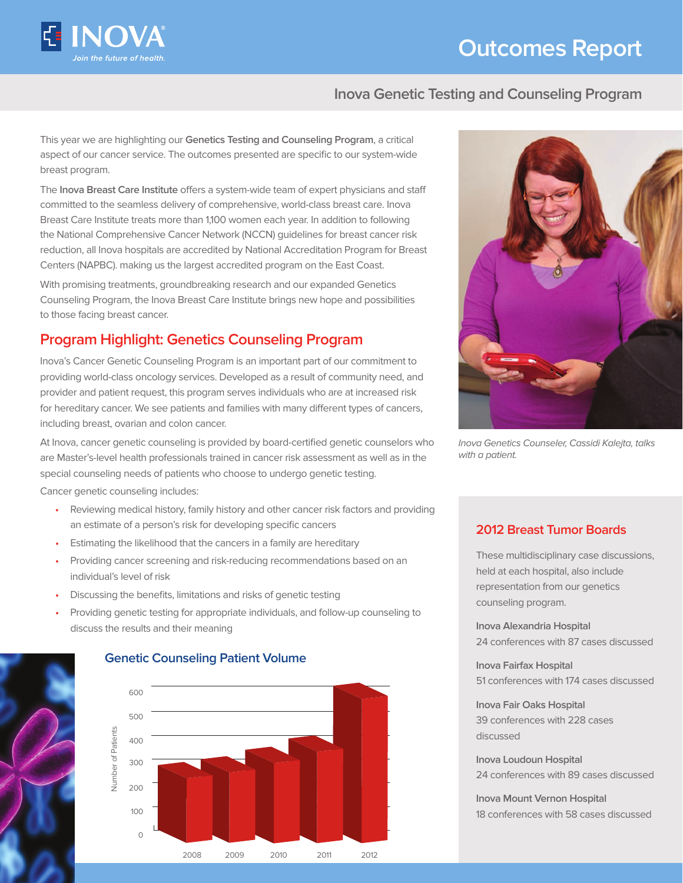

# **Outcomes Report**

#### **Inova Genetic Testing and Counseling Program**

This year we are highlighting our **Genetics Testing and Counseling Program**, a critical aspect of our cancer service. The outcomes presented are specific to our system-wide breast program.

The **Inova Breast Care Institute** offers a system-wide team of expert physicians and staff committed to the seamless delivery of comprehensive, world-class breast care. Inova Breast Care Institute treats more than 1,100 women each year. In addition to following the National Comprehensive Cancer Network (NCCN) guidelines for breast cancer risk reduction, all Inova hospitals are accredited by National Accreditation Program for Breast Centers (NAPBC). making us the largest accredited program on the East Coast.

With promising treatments, groundbreaking research and our expanded Genetics Counseling Program, the Inova Breast Care Institute brings new hope and possibilities to those facing breast cancer.

## **Program Highlight: Genetics Counseling Program**

Inova's Cancer Genetic Counseling Program is an important part of our commitment to providing world-class oncology services. Developed as a result of community need, and provider and patient request, this program serves individuals who are at increased risk for hereditary cancer. We see patients and families with many different types of cancers, including breast, ovarian and colon cancer.

At Inova, cancer genetic counseling is provided by board-certified genetic counselors who are Master's-level health professionals trained in cancer risk assessment as well as in the special counseling needs of patients who choose to undergo genetic testing.

Cancer genetic counseling includes:

- Reviewing medical history, family history and other cancer risk factors and providing an estimate of a person's risk for developing specific cancers
- Estimating the likelihood that the cancers in a family are hereditary
- Providing cancer screening and risk-reducing recommendations based on an individual's level of risk
- Discussing the benefits, limitations and risks of genetic testing
- Providing genetic testing for appropriate individuals, and follow-up counseling to discuss the results and their meaning







Inova Genetics Counseler, Cassidi Kalejta, talks with a patient.

#### **2012 Breast Tumor Boards**

These multidisciplinary case discussions, held at each hospital, also include representation from our genetics counseling program.

**Inova Alexandria Hospital** 24 conferences with 87 cases discussed

**Inova Fairfax Hospital** 51 conferences with 174 cases discussed

**Inova Fair Oaks Hospital** 39 conferences with 228 cases discussed

**Inova Loudoun Hospital** 24 conferences with 89 cases discussed

**Inova Mount Vernon Hospital** 18 conferences with 58 cases discussed